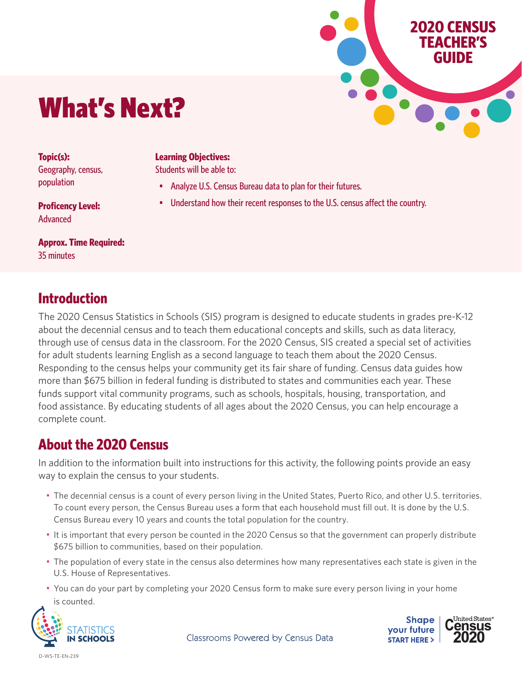# What's Next?

**Topic(s):** Geography, census, population

**Learning Objectives:**  Students will be able to:

- Analyze U.S. Census Bureau data to plan for their futures.
- Understand how their recent responses to the U.S. census affect the country.

**Proficency Level: Advanced** 

**Approx. Time Required:** 35 minutes

#### **Introduction**

The 2020 Census Statistics in Schools (SIS) program is designed to educate students in grades pre-K-12 about the decennial census and to teach them educational concepts and skills, such as data literacy, through use of census data in the classroom. For the 2020 Census, SIS created a special set of activities for adult students learning English as a second language to teach them about the 2020 Census. Responding to the census helps your community get its fair share of funding. Census data guides how more than \$675 billion in federal funding is distributed to states and communities each year. These funds support vital community programs, such as schools, hospitals, housing, transportation, and food assistance. By educating students of all ages about the 2020 Census, you can help encourage a complete count.

## **About the 2020 Census**

In addition to the information built into instructions for this activity, the following points provide an easy way to explain the census to your students.

- The decennial census is a count of every person living in the United States, Puerto Rico, and other U.S. territories. To count every person, the Census Bureau uses a form that each household must fill out. It is done by the U.S. Census Bureau every 10 years and counts the total population for the country.
- It is important that every person be counted in the 2020 Census so that the government can properly distribute \$675 billion to communities, based on their population.
- The population of every state in the census also determines how many representatives each state is given in the U.S. House of Representatives.
- You can do your part by completing your 2020 Census form to make sure every person living in your home is counted.





**2020 CENSUS TEACHER'S GUIDE**

Classrooms Powered by Census Data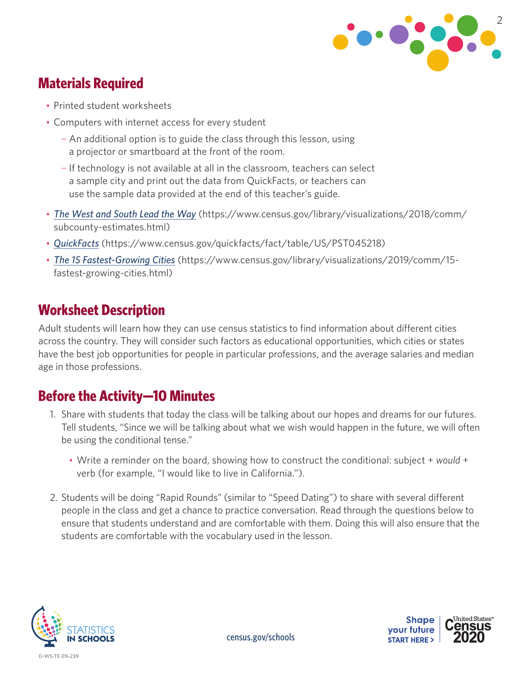

## **Materials Required**

- Printed student worksheets
- Computers with internet access for every student
	- ¬ An additional option is to guide the class through this lesson, using a projector or smartboard at the front of the room.
	- ¬ If technology is not available at all in the classroom, teachers can select a sample city and print out the data from QuickFacts, or teachers can use the sample data provided at the end of this teacher's guide.
- *The [West and South Lead the Way](https://www.census.gov/library/visualizations/2018/comm/subcounty-estimates.html)* (https://www.census.gov/library/visualizations/2018/comm/ subcounty-estimates.html)
- *[QuickFacts](https://www.census.gov/quickfacts/fact/table/US/PST045218)* (https://www.census.gov/quickfacts/fact/table/US/PST045218)
- *[The 15 Fastest-Growing Cities](https://www.census.gov/library/visualizations/2019/comm/15-fastest-growing-cities.html)* (https://www.census.gov/library/visualizations/2019/comm/15 fastest-growing-cities.html)

## **Worksheet Description**

Adult students will learn how they can use census statistics to find information about different cities across the country. They will consider such factors as educational opportunities, which cities or states have the best job opportunities for people in particular professions, and the average salaries and median age in those professions.

## **Before the Activity—10 Minutes**

- 1. Share with students that today the class will be talking about our hopes and dreams for our futures. Tell students, "Since we will be talking about what we wish would happen in the future, we will often be using the conditional tense."
	- Write a reminder on the board, showing how to construct the conditional: subject + *would* + verb (for example, "I would like to live in California.").
- 2. Students will be doing "Rapid Rounds" (similar to "Speed Dating") to share with several different people in the class and get a chance to practice conversation. Read through the questions below to ensure that students understand and are comfortable with them. Doing this will also ensure that the students are comfortable with the vocabulary used in the lesson.



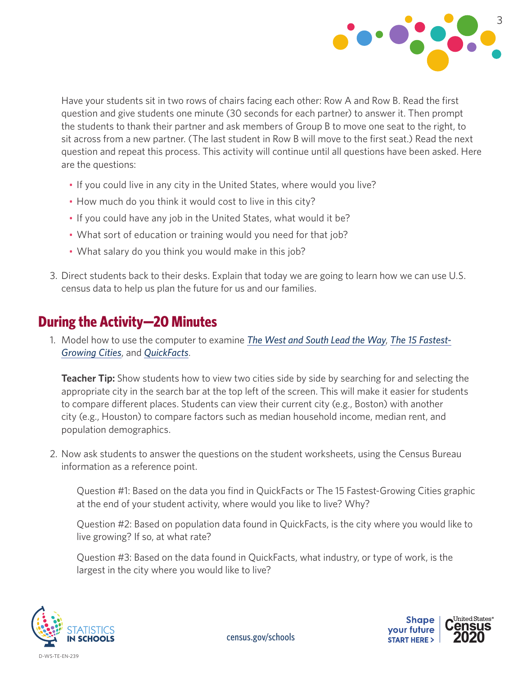

Have your students sit in two rows of chairs facing each other: Row A and Row B. Read the first question and give students one minute (30 seconds for each partner) to answer it. Then prompt the students to thank their partner and ask members of Group B to move one seat to the right, to sit across from a new partner. (The last student in Row B will move to the first seat.) Read the next question and repeat this process. This activity will continue until all questions have been asked. Here are the questions:

- If you could live in any city in the United States, where would you live?
- How much do you think it would cost to live in this city?
- If you could have any job in the United States, what would it be?
- What sort of education or training would you need for that job?
- What salary do you think you would make in this job?
- 3. Direct students back to their desks. Explain that today we are going to learn how we can use U.S. census data to help us plan the future for us and our families.

#### **During the Activity—20 Minutes**

1. Model how to use the computer to examine *The [West and South Lead the Way](https://www.census.gov/library/visualizations/2018/comm/subcounty-estimates.html)*, *[The 15 Fastest-](https://www.census.gov/library/visualizations/2019/comm/15-fastest-growing-cities.html)[Growing Cities](https://www.census.gov/library/visualizations/2019/comm/15-fastest-growing-cities.html)*, and *[QuickFacts](https://www.census.gov/quickfacts/fact/table/US/PST045218)*.

**Teacher Tip:** Show students how to view two cities side by side by searching for and selecting the appropriate city in the search bar at the top left of the screen. This will make it easier for students to compare different places. Students can view their current city (e.g., Boston) with another city (e.g., Houston) to compare factors such as median household income, median rent, and population demographics.

2. Now ask students to answer the questions on the student worksheets, using the Census Bureau information as a reference point.

Question #1: Based on the data you find in QuickFacts or The 15 Fastest-Growing Cities graphic at the end of your student activity, where would you like to live? Why?

Question #2: Based on population data found in QuickFacts, is the city where you would like to live growing? If so, at what rate?

Question #3: Based on the data found in QuickFacts, what industry, or type of work, is the largest in the city where you would like to live?



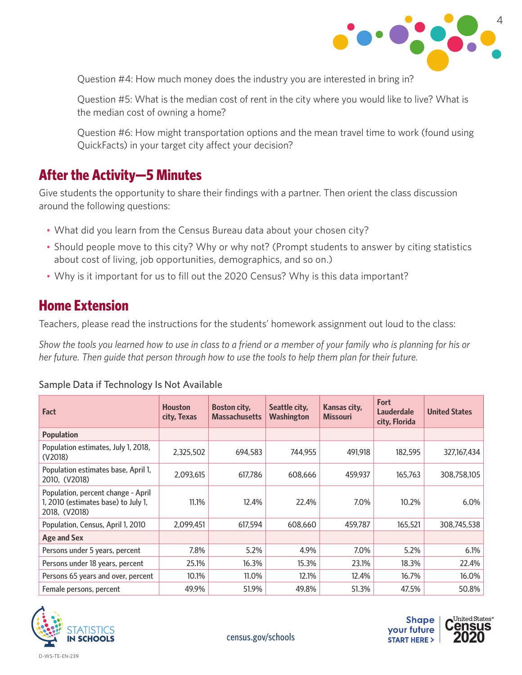

Question #4: How much money does the industry you are interested in bring in?

Question #5: What is the median cost of rent in the city where you would like to live? What is the median cost of owning a home?

Question #6: How might transportation options and the mean travel time to work (found using QuickFacts) in your target city affect your decision?

#### **After the Activity—5 Minutes**

Give students the opportunity to share their findings with a partner. Then orient the class discussion around the following questions:

- What did you learn from the Census Bureau data about your chosen city?
- Should people move to this city? Why or why not? (Prompt students to answer by citing statistics about cost of living, job opportunities, demographics, and so on.)
- Why is it important for us to fill out the 2020 Census? Why is this data important?

#### **Home Extension**

Teachers, please read the instructions for the students' homework assignment out loud to the class:

*Show the tools you learned how to use in class to a friend or a member of your family who is planning for his or her future. Then guide that person through how to use the tools to help them plan for their future.*

| <b>Fact</b>                                                                                | <b>Houston</b><br>city, Texas | <b>Boston city,</b><br><b>Massachusetts</b> | Seattle city,<br>Washington | Kansas city,<br><b>Missouri</b> | Fort<br>Lauderdale<br>city, Florida | <b>United States</b> |
|--------------------------------------------------------------------------------------------|-------------------------------|---------------------------------------------|-----------------------------|---------------------------------|-------------------------------------|----------------------|
| <b>Population</b>                                                                          |                               |                                             |                             |                                 |                                     |                      |
| Population estimates, July 1, 2018,<br>(V2018)                                             | 2.325.502                     | 694.583                                     | 744.955                     | 491.918                         | 182.595                             | 327,167,434          |
| Population estimates base, April 1,<br>2010, (V2018)                                       | 2.093.615                     | 617.786                                     | 608.666                     | 459.937                         | 165.763                             | 308,758,105          |
| Population, percent change - April<br>1, 2010 (estimates base) to July 1,<br>2018, (V2018) | 11.1%                         | 12.4%                                       | 22.4%                       | 7.0%                            | 10.2%                               | 6.0%                 |
| Population, Census, April 1, 2010                                                          | 2,099,451                     | 617.594                                     | 608,660                     | 459,787                         | 165,521                             | 308,745,538          |
| <b>Age and Sex</b>                                                                         |                               |                                             |                             |                                 |                                     |                      |
| Persons under 5 years, percent                                                             | 7.8%                          | 5.2%                                        | 4.9%                        | 7.0%                            | 5.2%                                | 6.1%                 |
| Persons under 18 years, percent                                                            | 25.1%                         | 16.3%                                       | 15.3%                       | 23.1%                           | 18.3%                               | 22.4%                |
| Persons 65 years and over, percent                                                         | 10.1%                         | 11.0%                                       | 12.1%                       | 12.4%                           | 16.7%                               | 16.0%                |
| Female persons, percent                                                                    | 49.9%                         | 51.9%                                       | 49.8%                       | 51.3%                           | 47.5%                               | 50.8%                |







[census.gov/schools](http://census.gov/schools)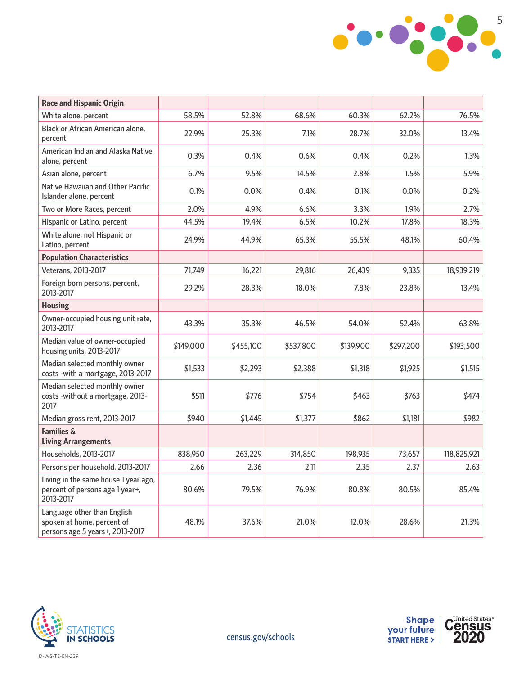

| <b>Race and Hispanic Origin</b>                                                              |           |           |           |           |           |             |
|----------------------------------------------------------------------------------------------|-----------|-----------|-----------|-----------|-----------|-------------|
| White alone, percent                                                                         | 58.5%     | 52.8%     | 68.6%     | 60.3%     | 62.2%     | 76.5%       |
| Black or African American alone,<br>percent                                                  | 22.9%     | 25.3%     | 7.1%      | 28.7%     | 32.0%     | 13.4%       |
| American Indian and Alaska Native<br>alone, percent                                          | 0.3%      | 0.4%      | 0.6%      | 0.4%      | 0.2%      | 1.3%        |
| Asian alone, percent                                                                         | 6.7%      | 9.5%      | 14.5%     | 2.8%      | 1.5%      | 5.9%        |
| Native Hawaiian and Other Pacific<br>Islander alone, percent                                 | 0.1%      | 0.0%      | 0.4%      | 0.1%      | $0.0\%$   | 0.2%        |
| Two or More Races, percent                                                                   | 2.0%      | 4.9%      | 6.6%      | 3.3%      | 1.9%      | 2.7%        |
| Hispanic or Latino, percent                                                                  | 44.5%     | 19.4%     | 6.5%      | 10.2%     | 17.8%     | 18.3%       |
| White alone, not Hispanic or<br>Latino, percent                                              | 24.9%     | 44.9%     | 65.3%     | 55.5%     | 48.1%     | 60.4%       |
| <b>Population Characteristics</b>                                                            |           |           |           |           |           |             |
| Veterans, 2013-2017                                                                          | 71,749    | 16,221    | 29,816    | 26.439    | 9,335     | 18,939,219  |
| Foreign born persons, percent,<br>2013-2017                                                  | 29.2%     | 28.3%     | 18.0%     | 7.8%      | 23.8%     | 13.4%       |
| <b>Housing</b>                                                                               |           |           |           |           |           |             |
| Owner-occupied housing unit rate,<br>2013-2017                                               | 43.3%     | 35.3%     | 46.5%     | 54.0%     | 52.4%     | 63.8%       |
| Median value of owner-occupied<br>housing units, 2013-2017                                   | \$149,000 | \$455,100 | \$537,800 | \$139,900 | \$297,200 | \$193,500   |
| Median selected monthly owner<br>costs -with a mortgage, 2013-2017                           | \$1,533   | \$2,293   | \$2,388   | \$1,318   | \$1,925   | \$1,515     |
| Median selected monthly owner<br>costs -without a mortgage, 2013-<br>2017                    | \$511     | \$776     | \$754     | \$463     | \$763     | \$474       |
| Median gross rent, 2013-2017                                                                 | \$940     | \$1,445   | \$1,377   | \$862     | \$1,181   | \$982       |
| <b>Families &amp;</b><br><b>Living Arrangements</b>                                          |           |           |           |           |           |             |
| Households, 2013-2017                                                                        | 838,950   | 263,229   | 314,850   | 198.935   | 73,657    | 118,825,921 |
| Persons per household, 2013-2017                                                             | 2.66      | 2.36      | 2.11      | 2.35      | 2.37      | 2.63        |
| Living in the same house 1 year ago,<br>percent of persons age 1 year+,<br>2013-2017         | 80.6%     | 79.5%     | 76.9%     | 80.8%     | 80.5%     | 85.4%       |
| Language other than English<br>spoken at home, percent of<br>persons age 5 years+, 2013-2017 | 48.1%     | 37.6%     | 21.0%     | 12.0%     | 28.6%     | 21.3%       |



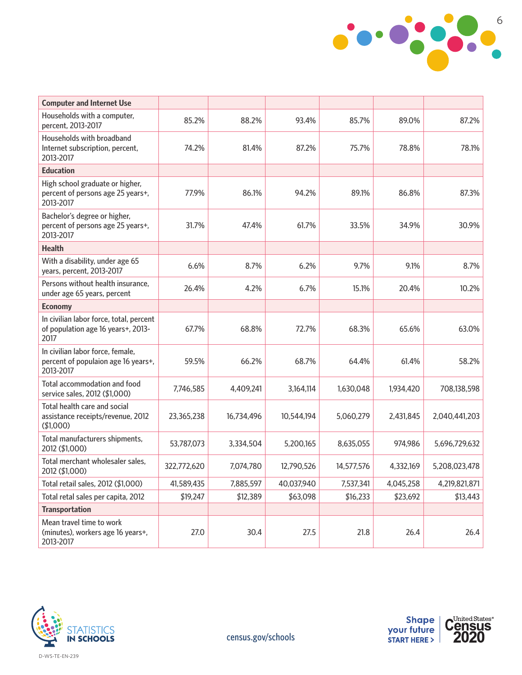

| <b>Computer and Internet Use</b>                                                      |             |            |            |            |           |               |
|---------------------------------------------------------------------------------------|-------------|------------|------------|------------|-----------|---------------|
| Households with a computer,<br>percent, 2013-2017                                     | 85.2%       | 88.2%      | 93.4%      | 85.7%      | 89.0%     | 87.2%         |
| Households with broadband<br>Internet subscription, percent,<br>2013-2017             | 74.2%       | 81.4%      | 87.2%      | 75.7%      | 78.8%     | 78.1%         |
| <b>Education</b>                                                                      |             |            |            |            |           |               |
| High school graduate or higher,<br>percent of persons age 25 years+,<br>2013-2017     | 77.9%       | 86.1%      | 94.2%      | 89.1%      | 86.8%     | 87.3%         |
| Bachelor's degree or higher,<br>percent of persons age 25 years+,<br>2013-2017        | 31.7%       | 47.4%      | 61.7%      | 33.5%      | 34.9%     | 30.9%         |
| <b>Health</b>                                                                         |             |            |            |            |           |               |
| With a disability, under age 65<br>years, percent, 2013-2017                          | 6.6%        | 8.7%       | 6.2%       | 9.7%       | 9.1%      | 8.7%          |
| Persons without health insurance,<br>under age 65 years, percent                      | 26.4%       | 4.2%       | 6.7%       | 15.1%      | 20.4%     | 10.2%         |
| <b>Economy</b>                                                                        |             |            |            |            |           |               |
| In civilian labor force, total, percent<br>of population age 16 years+, 2013-<br>2017 | 67.7%       | 68.8%      | 72.7%      | 68.3%      | 65.6%     | 63.0%         |
| In civilian labor force, female,<br>percent of populaion age 16 years+,<br>2013-2017  | 59.5%       | 66.2%      | 68.7%      | 64.4%      | 61.4%     | 58.2%         |
| Total accommodation and food<br>service sales, 2012 (\$1,000)                         | 7,746,585   | 4,409,241  | 3,164,114  | 1,630,048  | 1,934,420 | 708,138,598   |
| Total health care and social<br>assistance receipts/revenue, 2012<br>(\$1,000)        | 23,365,238  | 16,734,496 | 10,544,194 | 5,060,279  | 2,431,845 | 2,040,441,203 |
| Total manufacturers shipments,<br>2012 (\$1,000)                                      | 53,787,073  | 3,334,504  | 5,200,165  | 8,635,055  | 974,986   | 5,696,729,632 |
| Total merchant wholesaler sales,<br>2012 (\$1,000)                                    | 322,772,620 | 7,074,780  | 12,790,526 | 14,577,576 | 4,332,169 | 5,208,023,478 |
| Total retail sales, 2012 (\$1,000)                                                    | 41,589,435  | 7,885,597  | 40,037,940 | 7,537,341  | 4,045,258 | 4,219,821,871 |
| Total retal sales per capita, 2012                                                    | \$19,247    | \$12,389   | \$63,098   | \$16,233   | \$23,692  | \$13,443      |
| <b>Transportation</b>                                                                 |             |            |            |            |           |               |
| Mean travel time to work<br>(minutes), workers age 16 years+,<br>2013-2017            | 27.0        | 30.4       | 27.5       | 21.8       | 26.4      | 26.4          |





[census.gov/schools](http://census.gov/schools)